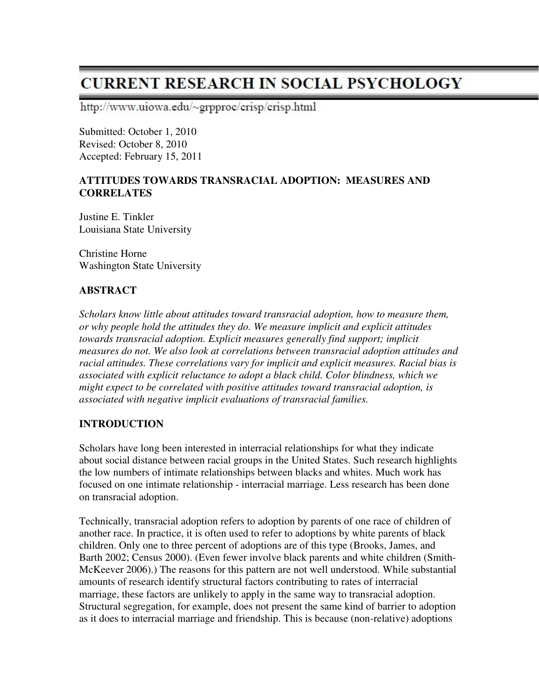# **CURRENT RESEARCH IN SOCIAL PSYCHOLOGY**

http://www.uiowa.edu/~grpproc/crisp/crisp.html

Submitted: October 1, 2010 Revised: October 8, 2010 Accepted: February 15, 2011

#### **ATTITUDES TOWARDS TRANSRACIAL ADOPTION: MEASURES AND CORRELATES**

Justine E. Tinkler Louisiana State University

Christine Horne Washington State University

# **ABSTRACT**

*Scholars know little about attitudes toward transracial adoption, how to measure them, or why people hold the attitudes they do. We measure implicit and explicit attitudes towards transracial adoption. Explicit measures generally find support; implicit measures do not. We also look at correlations between transracial adoption attitudes and racial attitudes. These correlations vary for implicit and explicit measures. Racial bias is associated with explicit reluctance to adopt a black child. Color blindness, which we might expect to be correlated with positive attitudes toward transracial adoption, is associated with negative implicit evaluations of transracial families.* 

# **INTRODUCTION**

Scholars have long been interested in interracial relationships for what they indicate about social distance between racial groups in the United States. Such research highlights the low numbers of intimate relationships between blacks and whites. Much work has focused on one intimate relationship - interracial marriage. Less research has been done on transracial adoption.

Technically, transracial adoption refers to adoption by parents of one race of children of another race. In practice, it is often used to refer to adoptions by white parents of black children. Only one to three percent of adoptions are of this type (Brooks, James, and Barth 2002; Census 2000). (Even fewer involve black parents and white children (Smith-McKeever 2006).) The reasons for this pattern are not well understood. While substantial amounts of research identify structural factors contributing to rates of interracial marriage, these factors are unlikely to apply in the same way to transracial adoption. Structural segregation, for example, does not present the same kind of barrier to adoption as it does to interracial marriage and friendship. This is because (non-relative) adoptions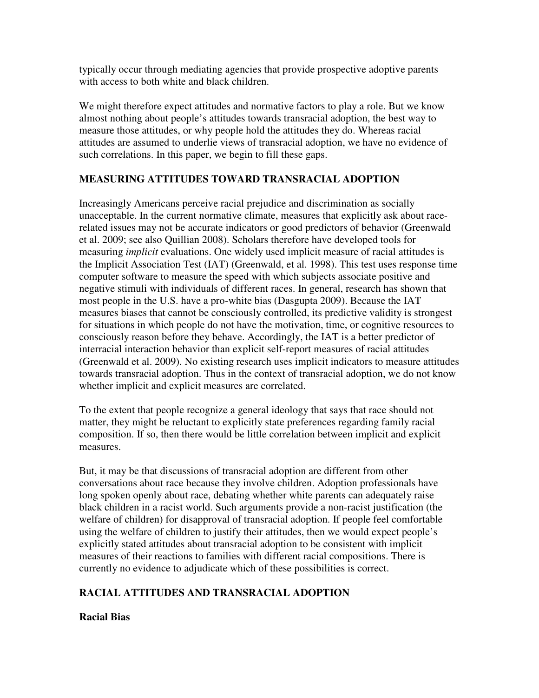typically occur through mediating agencies that provide prospective adoptive parents with access to both white and black children.

We might therefore expect attitudes and normative factors to play a role. But we know almost nothing about people's attitudes towards transracial adoption, the best way to measure those attitudes, or why people hold the attitudes they do. Whereas racial attitudes are assumed to underlie views of transracial adoption, we have no evidence of such correlations. In this paper, we begin to fill these gaps.

# **MEASURING ATTITUDES TOWARD TRANSRACIAL ADOPTION**

Increasingly Americans perceive racial prejudice and discrimination as socially unacceptable. In the current normative climate, measures that explicitly ask about racerelated issues may not be accurate indicators or good predictors of behavior (Greenwald et al. 2009; see also Quillian 2008). Scholars therefore have developed tools for measuring *implicit* evaluations. One widely used implicit measure of racial attitudes is the Implicit Association Test (IAT) (Greenwald, et al. 1998). This test uses response time computer software to measure the speed with which subjects associate positive and negative stimuli with individuals of different races. In general, research has shown that most people in the U.S. have a pro-white bias (Dasgupta 2009). Because the IAT measures biases that cannot be consciously controlled, its predictive validity is strongest for situations in which people do not have the motivation, time, or cognitive resources to consciously reason before they behave. Accordingly, the IAT is a better predictor of interracial interaction behavior than explicit self-report measures of racial attitudes (Greenwald et al. 2009). No existing research uses implicit indicators to measure attitudes towards transracial adoption. Thus in the context of transracial adoption, we do not know whether implicit and explicit measures are correlated.

To the extent that people recognize a general ideology that says that race should not matter, they might be reluctant to explicitly state preferences regarding family racial composition. If so, then there would be little correlation between implicit and explicit measures.

But, it may be that discussions of transracial adoption are different from other conversations about race because they involve children. Adoption professionals have long spoken openly about race, debating whether white parents can adequately raise black children in a racist world. Such arguments provide a non-racist justification (the welfare of children) for disapproval of transracial adoption. If people feel comfortable using the welfare of children to justify their attitudes, then we would expect people's explicitly stated attitudes about transracial adoption to be consistent with implicit measures of their reactions to families with different racial compositions. There is currently no evidence to adjudicate which of these possibilities is correct.

# **RACIAL ATTITUDES AND TRANSRACIAL ADOPTION**

# **Racial Bias**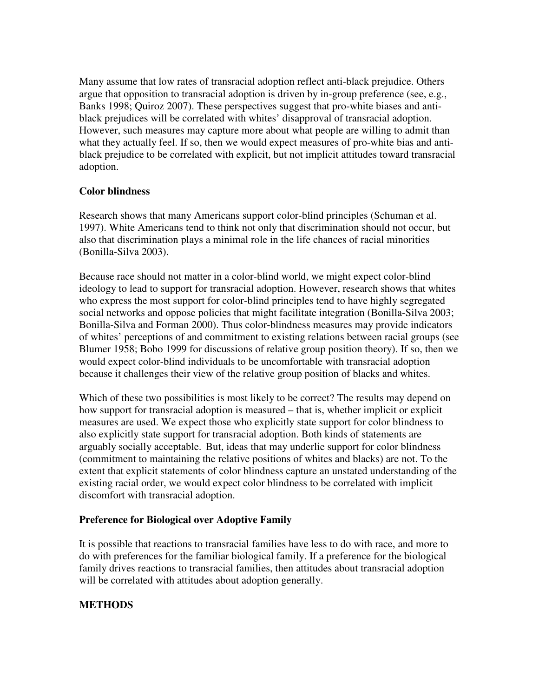Many assume that low rates of transracial adoption reflect anti-black prejudice. Others argue that opposition to transracial adoption is driven by in-group preference (see, e.g., Banks 1998; Quiroz 2007). These perspectives suggest that pro-white biases and antiblack prejudices will be correlated with whites' disapproval of transracial adoption. However, such measures may capture more about what people are willing to admit than what they actually feel. If so, then we would expect measures of pro-white bias and antiblack prejudice to be correlated with explicit, but not implicit attitudes toward transracial adoption.

#### **Color blindness**

Research shows that many Americans support color-blind principles (Schuman et al. 1997). White Americans tend to think not only that discrimination should not occur, but also that discrimination plays a minimal role in the life chances of racial minorities (Bonilla-Silva 2003).

Because race should not matter in a color-blind world, we might expect color-blind ideology to lead to support for transracial adoption. However, research shows that whites who express the most support for color-blind principles tend to have highly segregated social networks and oppose policies that might facilitate integration (Bonilla-Silva 2003; Bonilla-Silva and Forman 2000). Thus color-blindness measures may provide indicators of whites' perceptions of and commitment to existing relations between racial groups (see Blumer 1958; Bobo 1999 for discussions of relative group position theory). If so, then we would expect color-blind individuals to be uncomfortable with transracial adoption because it challenges their view of the relative group position of blacks and whites.

Which of these two possibilities is most likely to be correct? The results may depend on how support for transracial adoption is measured – that is, whether implicit or explicit measures are used. We expect those who explicitly state support for color blindness to also explicitly state support for transracial adoption. Both kinds of statements are arguably socially acceptable. But, ideas that may underlie support for color blindness (commitment to maintaining the relative positions of whites and blacks) are not. To the extent that explicit statements of color blindness capture an unstated understanding of the existing racial order, we would expect color blindness to be correlated with implicit discomfort with transracial adoption.

# **Preference for Biological over Adoptive Family**

It is possible that reactions to transracial families have less to do with race, and more to do with preferences for the familiar biological family. If a preference for the biological family drives reactions to transracial families, then attitudes about transracial adoption will be correlated with attitudes about adoption generally.

# **METHODS**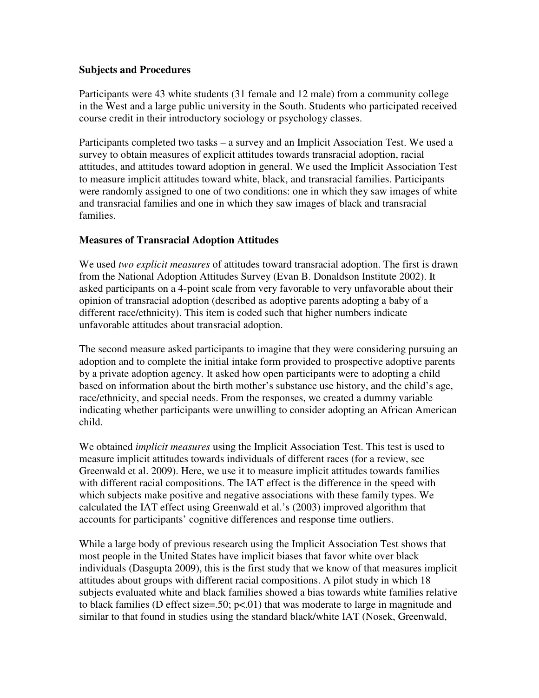#### **Subjects and Procedures**

Participants were 43 white students (31 female and 12 male) from a community college in the West and a large public university in the South. Students who participated received course credit in their introductory sociology or psychology classes.

Participants completed two tasks – a survey and an Implicit Association Test. We used a survey to obtain measures of explicit attitudes towards transracial adoption, racial attitudes, and attitudes toward adoption in general. We used the Implicit Association Test to measure implicit attitudes toward white, black, and transracial families. Participants were randomly assigned to one of two conditions: one in which they saw images of white and transracial families and one in which they saw images of black and transracial families.

#### **Measures of Transracial Adoption Attitudes**

We used *two explicit measures* of attitudes toward transracial adoption. The first is drawn from the National Adoption Attitudes Survey (Evan B. Donaldson Institute 2002). It asked participants on a 4-point scale from very favorable to very unfavorable about their opinion of transracial adoption (described as adoptive parents adopting a baby of a different race/ethnicity). This item is coded such that higher numbers indicate unfavorable attitudes about transracial adoption.

The second measure asked participants to imagine that they were considering pursuing an adoption and to complete the initial intake form provided to prospective adoptive parents by a private adoption agency. It asked how open participants were to adopting a child based on information about the birth mother's substance use history, and the child's age, race/ethnicity, and special needs. From the responses, we created a dummy variable indicating whether participants were unwilling to consider adopting an African American child.

We obtained *implicit measures* using the Implicit Association Test. This test is used to measure implicit attitudes towards individuals of different races (for a review, see Greenwald et al. 2009). Here, we use it to measure implicit attitudes towards families with different racial compositions. The IAT effect is the difference in the speed with which subjects make positive and negative associations with these family types. We calculated the IAT effect using Greenwald et al.'s (2003) improved algorithm that accounts for participants' cognitive differences and response time outliers.

While a large body of previous research using the Implicit Association Test shows that most people in the United States have implicit biases that favor white over black individuals (Dasgupta 2009), this is the first study that we know of that measures implicit attitudes about groups with different racial compositions. A pilot study in which 18 subjects evaluated white and black families showed a bias towards white families relative to black families (D effect size=.50;  $p<0$ ) that was moderate to large in magnitude and similar to that found in studies using the standard black/white IAT (Nosek, Greenwald,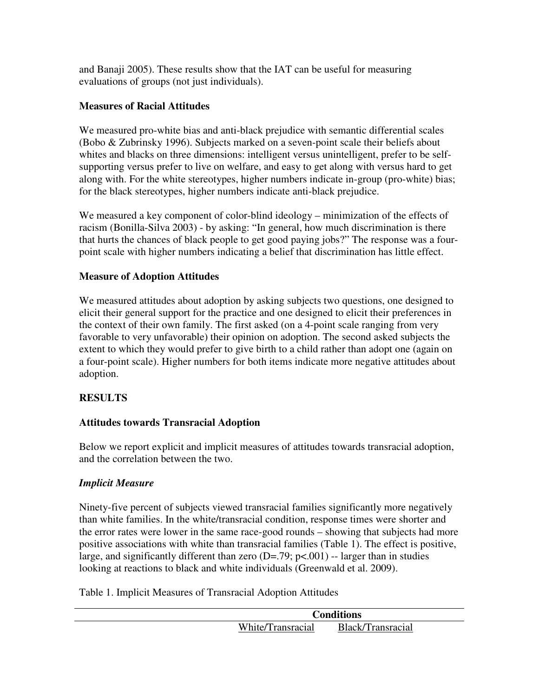and Banaji 2005). These results show that the IAT can be useful for measuring evaluations of groups (not just individuals).

#### **Measures of Racial Attitudes**

We measured pro-white bias and anti-black prejudice with semantic differential scales (Bobo & Zubrinsky 1996). Subjects marked on a seven-point scale their beliefs about whites and blacks on three dimensions: intelligent versus unintelligent, prefer to be selfsupporting versus prefer to live on welfare, and easy to get along with versus hard to get along with. For the white stereotypes, higher numbers indicate in-group (pro-white) bias; for the black stereotypes, higher numbers indicate anti-black prejudice.

We measured a key component of color-blind ideology – minimization of the effects of racism (Bonilla-Silva 2003) - by asking: "In general, how much discrimination is there that hurts the chances of black people to get good paying jobs?" The response was a fourpoint scale with higher numbers indicating a belief that discrimination has little effect.

#### **Measure of Adoption Attitudes**

We measured attitudes about adoption by asking subjects two questions, one designed to elicit their general support for the practice and one designed to elicit their preferences in the context of their own family. The first asked (on a 4-point scale ranging from very favorable to very unfavorable) their opinion on adoption. The second asked subjects the extent to which they would prefer to give birth to a child rather than adopt one (again on a four-point scale). Higher numbers for both items indicate more negative attitudes about adoption.

# **RESULTS**

# **Attitudes towards Transracial Adoption**

Below we report explicit and implicit measures of attitudes towards transracial adoption, and the correlation between the two.

#### *Implicit Measure*

Ninety-five percent of subjects viewed transracial families significantly more negatively than white families. In the white/transracial condition, response times were shorter and the error rates were lower in the same race-good rounds – showing that subjects had more positive associations with white than transracial families (Table 1). The effect is positive, large, and significantly different than zero  $(D=.79; p<.001)$  -- larger than in studies looking at reactions to black and white individuals (Greenwald et al. 2009).

Table 1. Implicit Measures of Transracial Adoption Attitudes

|                   | Conditions        |  |  |  |
|-------------------|-------------------|--|--|--|
| White/Transracial | Black/Transracial |  |  |  |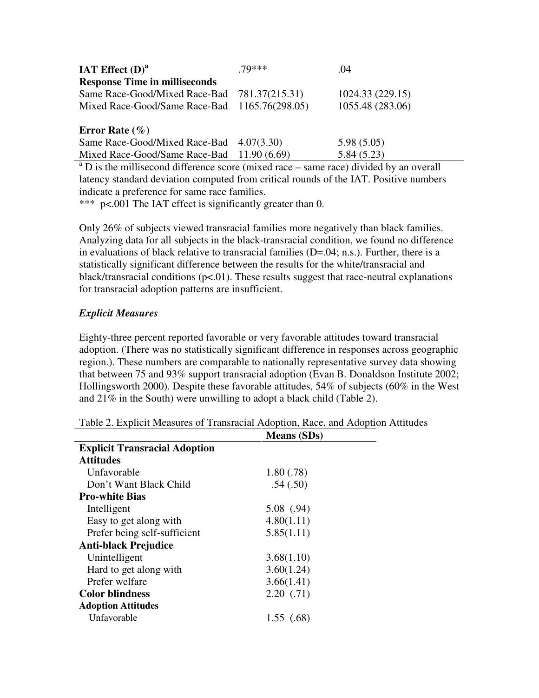| IAT Effect $(D)^a$                            | 70*** | .04              |
|-----------------------------------------------|-------|------------------|
| <b>Response Time in milliseconds</b>          |       |                  |
| Same Race-Good/Mixed Race-Bad 781.37(215.31)  |       | 1024.33 (229.15) |
| Mixed Race-Good/Same Race-Bad 1165.76(298.05) |       | 1055.48 (283.06) |
| Error Rate $(\% )$                            |       |                  |
| Same Race-Good/Mixed Race-Bad 4.07(3.30)      |       | 5.98(5.05)       |
| Mixed Race-Good/Same Race-Bad 11.90 (6.69)    |       | 5.84(5.23)       |

<sup>a</sup> D is the millisecond difference score (mixed race – same race) divided by an overall latency standard deviation computed from critical rounds of the IAT. Positive numbers indicate a preference for same race families.

\*\*\* p<.001 The IAT effect is significantly greater than 0.

Only 26% of subjects viewed transracial families more negatively than black families. Analyzing data for all subjects in the black-transracial condition, we found no difference in evaluations of black relative to transracial families (D=.04; n.s.). Further, there is a statistically significant difference between the results for the white/transracial and black/transracial conditions ( $p<01$ ). These results suggest that race-neutral explanations for transracial adoption patterns are insufficient.

# *Explicit Measures*

Eighty-three percent reported favorable or very favorable attitudes toward transracial adoption. (There was no statistically significant difference in responses across geographic region.). These numbers are comparable to nationally representative survey data showing that between 75 and 93% support transracial adoption (Evan B. Donaldson Institute 2002; Hollingsworth 2000). Despite these favorable attitudes, 54% of subjects (60% in the West and 21% in the South) were unwilling to adopt a black child (Table 2).

Table 2. Explicit Measures of Transracial Adoption, Race, and Adoption Attitudes

|                                      | <b>Means (SDs)</b> |  |
|--------------------------------------|--------------------|--|
| <b>Explicit Transracial Adoption</b> |                    |  |
| <b>Attitudes</b>                     |                    |  |
| Unfavorable                          | 1.80(.78)          |  |
| Don't Want Black Child               | .54(.50)           |  |
| <b>Pro-white Bias</b>                |                    |  |
| Intelligent                          | 5.08(0.94)         |  |
| Easy to get along with               | 4.80(1.11)         |  |
| Prefer being self-sufficient         | 5.85(1.11)         |  |
| <b>Anti-black Prejudice</b>          |                    |  |
| Unintelligent                        | 3.68(1.10)         |  |
| Hard to get along with               | 3.60(1.24)         |  |
| Prefer welfare                       | 3.66(1.41)         |  |
| <b>Color blindness</b>               | 2.20(0.71)         |  |
| <b>Adoption Attitudes</b>            |                    |  |
| Unfavorable                          | 1.55(0.68)         |  |
|                                      |                    |  |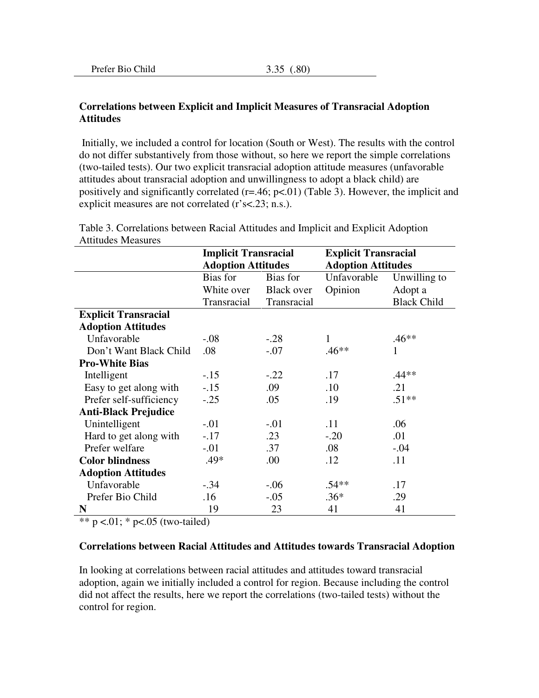#### **Correlations between Explicit and Implicit Measures of Transracial Adoption Attitudes**

 Initially, we included a control for location (South or West). The results with the control do not differ substantively from those without, so here we report the simple correlations (two-tailed tests). Our two explicit transracial adoption attitude measures (unfavorable attitudes about transracial adoption and unwillingness to adopt a black child) are positively and significantly correlated  $(r=.46; p<.01)$  (Table 3). However, the implicit and explicit measures are not correlated (r's<.23; n.s.).

|                             | <b>Implicit Transracial</b> |                   | <b>Explicit Transracial</b> |                    |  |
|-----------------------------|-----------------------------|-------------------|-----------------------------|--------------------|--|
|                             | <b>Adoption Attitudes</b>   |                   | <b>Adoption Attitudes</b>   |                    |  |
|                             | Bias for                    | Bias for          | Unfavorable                 | Unwilling to       |  |
|                             | White over                  | <b>Black over</b> | Opinion                     | Adopt a            |  |
|                             | Transracial                 | Transracial       |                             | <b>Black Child</b> |  |
| <b>Explicit Transracial</b> |                             |                   |                             |                    |  |
| <b>Adoption Attitudes</b>   |                             |                   |                             |                    |  |
| Unfavorable                 | $-.08$                      | $-.28$            | 1                           | $.46**$            |  |
| Don't Want Black Child      | .08                         | $-.07$            | $.46**$                     | 1                  |  |
| <b>Pro-White Bias</b>       |                             |                   |                             |                    |  |
| Intelligent                 | $-.15$                      | $-.22$            | .17                         | $.44**$            |  |
| Easy to get along with      | $-.15$                      | .09               | .10                         | .21                |  |
| Prefer self-sufficiency     | $-.25$                      | .05               | .19                         | $.51**$            |  |
| <b>Anti-Black Prejudice</b> |                             |                   |                             |                    |  |
| Unintelligent               | $-.01$                      | $-.01$            | .11                         | .06                |  |
| Hard to get along with      | $-17$                       | .23               | $-.20$                      | .01                |  |
| Prefer welfare              | $-.01$                      | .37               | .08                         | $-.04$             |  |
| <b>Color blindness</b>      | $.49*$                      | .00               | .12                         | .11                |  |
| <b>Adoption Attitudes</b>   |                             |                   |                             |                    |  |
| Unfavorable                 | $-.34$                      | $-0.06$           | $.54**$                     | .17                |  |
| Prefer Bio Child            | .16                         | $-.05$            | $.36*$                      | .29                |  |
| N                           | 19                          | 23                | 41                          | 41                 |  |

Table 3. Correlations between Racial Attitudes and Implicit and Explicit Adoption Attitudes Measures

\*\* p <.01; \* p <.05 (two-tailed)

#### **Correlations between Racial Attitudes and Attitudes towards Transracial Adoption**

In looking at correlations between racial attitudes and attitudes toward transracial adoption, again we initially included a control for region. Because including the control did not affect the results, here we report the correlations (two-tailed tests) without the control for region.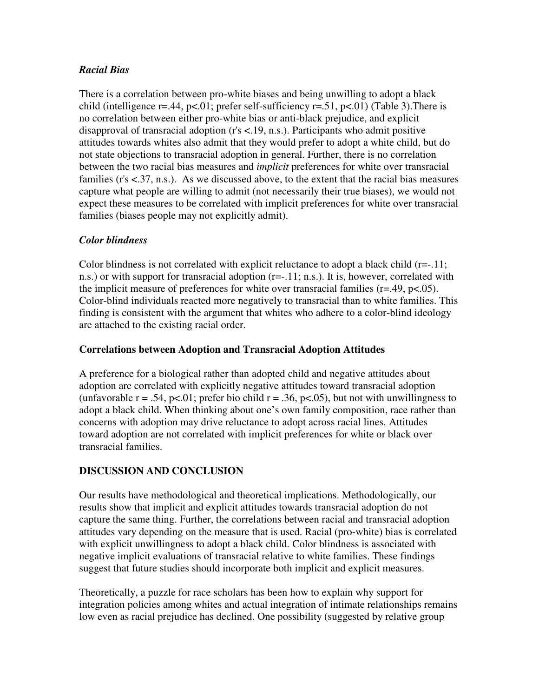# *Racial Bias*

There is a correlation between pro-white biases and being unwilling to adopt a black child (intelligence r=.44, p<.01; prefer self-sufficiency r=.51, p<.01) (Table 3). There is no correlation between either pro-white bias or anti-black prejudice, and explicit disapproval of transracial adoption (r's <.19, n.s.). Participants who admit positive attitudes towards whites also admit that they would prefer to adopt a white child, but do not state objections to transracial adoption in general. Further, there is no correlation between the two racial bias measures and *implicit* preferences for white over transracial families (r's <.37, n.s.). As we discussed above, to the extent that the racial bias measures capture what people are willing to admit (not necessarily their true biases), we would not expect these measures to be correlated with implicit preferences for white over transracial families (biases people may not explicitly admit).

# *Color blindness*

Color blindness is not correlated with explicit reluctance to adopt a black child (r=-.11; n.s.) or with support for transracial adoption (r=-.11; n.s.). It is, however, correlated with the implicit measure of preferences for white over transracial families ( $r = .49$ ,  $p < .05$ ). Color-blind individuals reacted more negatively to transracial than to white families. This finding is consistent with the argument that whites who adhere to a color-blind ideology are attached to the existing racial order.

# **Correlations between Adoption and Transracial Adoption Attitudes**

A preference for a biological rather than adopted child and negative attitudes about adoption are correlated with explicitly negative attitudes toward transracial adoption (unfavorable  $r = .54$ , p<.01; prefer bio child  $r = .36$ , p<.05), but not with unwillingness to adopt a black child. When thinking about one's own family composition, race rather than concerns with adoption may drive reluctance to adopt across racial lines. Attitudes toward adoption are not correlated with implicit preferences for white or black over transracial families.

# **DISCUSSION AND CONCLUSION**

Our results have methodological and theoretical implications. Methodologically, our results show that implicit and explicit attitudes towards transracial adoption do not capture the same thing. Further, the correlations between racial and transracial adoption attitudes vary depending on the measure that is used. Racial (pro-white) bias is correlated with explicit unwillingness to adopt a black child. Color blindness is associated with negative implicit evaluations of transracial relative to white families. These findings suggest that future studies should incorporate both implicit and explicit measures.

Theoretically, a puzzle for race scholars has been how to explain why support for integration policies among whites and actual integration of intimate relationships remains low even as racial prejudice has declined. One possibility (suggested by relative group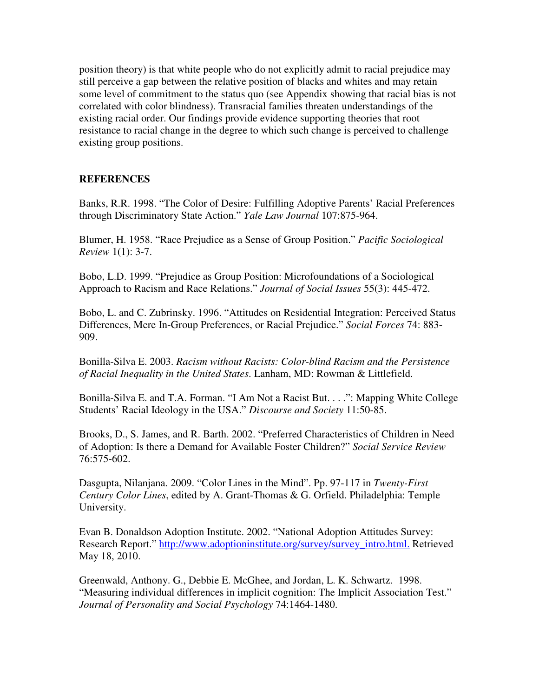position theory) is that white people who do not explicitly admit to racial prejudice may still perceive a gap between the relative position of blacks and whites and may retain some level of commitment to the status quo (see Appendix showing that racial bias is not correlated with color blindness). Transracial families threaten understandings of the existing racial order. Our findings provide evidence supporting theories that root resistance to racial change in the degree to which such change is perceived to challenge existing group positions.

#### **REFERENCES**

Banks, R.R. 1998. "The Color of Desire: Fulfilling Adoptive Parents' Racial Preferences through Discriminatory State Action." *Yale Law Journal* 107:875-964.

Blumer, H. 1958. "Race Prejudice as a Sense of Group Position." *Pacific Sociological Review* 1(1): 3-7.

Bobo, L.D. 1999. "Prejudice as Group Position: Microfoundations of a Sociological Approach to Racism and Race Relations." *Journal of Social Issues* 55(3): 445-472.

Bobo, L. and C. Zubrinsky. 1996. "Attitudes on Residential Integration: Perceived Status Differences, Mere In-Group Preferences, or Racial Prejudice." *Social Forces* 74: 883- 909.

Bonilla-Silva E. 2003. *Racism without Racists: Color-blind Racism and the Persistence of Racial Inequality in the United States*. Lanham, MD: Rowman & Littlefield.

Bonilla-Silva E. and T.A. Forman. "I Am Not a Racist But. . . .": Mapping White College Students' Racial Ideology in the USA." *Discourse and Society* 11:50-85.

Brooks, D., S. James, and R. Barth. 2002. "Preferred Characteristics of Children in Need of Adoption: Is there a Demand for Available Foster Children?" *Social Service Review*  76:575-602.

Dasgupta, Nilanjana. 2009. "Color Lines in the Mind". Pp. 97-117 in *Twenty-First Century Color Lines*, edited by A. Grant-Thomas & G. Orfield. Philadelphia: Temple University.

Evan B. Donaldson Adoption Institute. 2002. "National Adoption Attitudes Survey: Research Report." http://www.adoptioninstitute.org/survey/survey\_intro.html. Retrieved May 18, 2010.

Greenwald, Anthony. G., Debbie E. McGhee, and Jordan, L. K. Schwartz. 1998. "Measuring individual differences in implicit cognition: The Implicit Association Test." *Journal of Personality and Social Psychology* 74:1464-1480.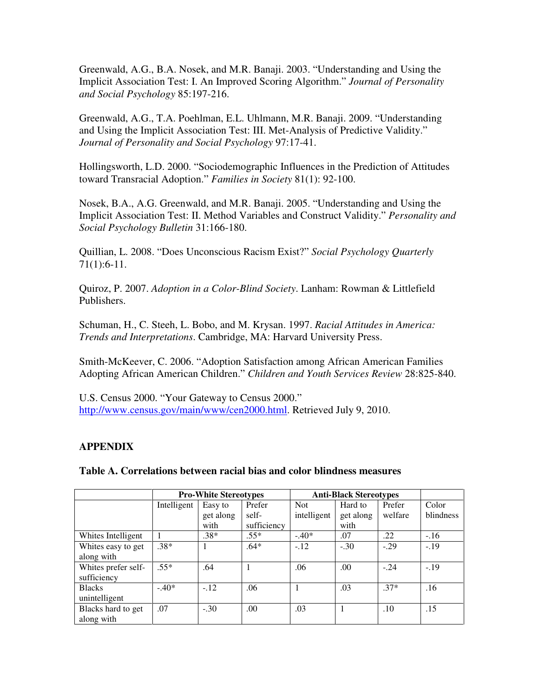Greenwald, A.G., B.A. Nosek, and M.R. Banaji. 2003. "Understanding and Using the Implicit Association Test: I. An Improved Scoring Algorithm." *Journal of Personality and Social Psychology* 85:197-216.

Greenwald, A.G., T.A. Poehlman, E.L. Uhlmann, M.R. Banaji. 2009. "Understanding and Using the Implicit Association Test: III. Met-Analysis of Predictive Validity." *Journal of Personality and Social Psychology* 97:17-41.

Hollingsworth, L.D. 2000. "Sociodemographic Influences in the Prediction of Attitudes toward Transracial Adoption." *Families in Society* 81(1): 92-100.

Nosek, B.A., A.G. Greenwald, and M.R. Banaji. 2005. "Understanding and Using the Implicit Association Test: II. Method Variables and Construct Validity." *Personality and Social Psychology Bulletin* 31:166-180.

Quillian, L. 2008. "Does Unconscious Racism Exist?" *Social Psychology Quarterly*  71(1):6-11.

Quiroz, P. 2007. *Adoption in a Color-Blind Society*. Lanham: Rowman & Littlefield Publishers.

Schuman, H., C. Steeh, L. Bobo, and M. Krysan. 1997. *Racial Attitudes in America: Trends and Interpretations*. Cambridge, MA: Harvard University Press.

Smith-McKeever, C. 2006. "Adoption Satisfaction among African American Families Adopting African American Children." *Children and Youth Services Review* 28:825-840.

U.S. Census 2000. "Your Gateway to Census 2000." http://www.census.gov/main/www/cen2000.html. Retrieved July 9, 2010.

# **APPENDIX**

**Table A. Correlations between racial bias and color blindness measures** 

|                     | <b>Pro-White Stereotypes</b> |           |             | <b>Anti-Black Stereotypes</b> |           |         |           |
|---------------------|------------------------------|-----------|-------------|-------------------------------|-----------|---------|-----------|
|                     | Intelligent                  | Easy to   | Prefer      | <b>Not</b>                    | Hard to   | Prefer  | Color     |
|                     |                              | get along | self-       | intelligent                   | get along | welfare | blindness |
|                     |                              | with      | sufficiency |                               | with      |         |           |
| Whites Intelligent  | 1                            | $.38*$    | $.55*$      | $-.40*$                       | .07       | .22     | $-.16$    |
| Whites easy to get  | $.38*$                       |           | $.64*$      | $-.12$                        | $-.30$    | $-.29$  | $-.19$    |
| along with          |                              |           |             |                               |           |         |           |
| Whites prefer self- | $.55*$                       | .64       |             | .06                           | .00.      | $-.24$  | $-.19$    |
| sufficiency         |                              |           |             |                               |           |         |           |
| <b>Blacks</b>       | $-.40*$                      | $-.12$    | .06         |                               | .03       | $.37*$  | .16       |
| unintelligent       |                              |           |             |                               |           |         |           |
| Blacks hard to get  | .07                          | $-.30$    | .00         | .03                           |           | .10     | .15       |
| along with          |                              |           |             |                               |           |         |           |